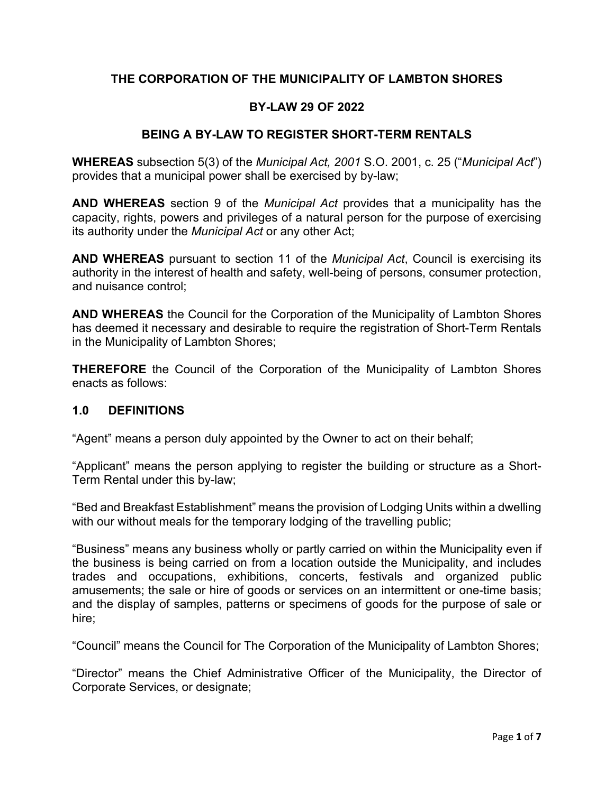# **THE CORPORATION OF THE MUNICIPALITY OF LAMBTON SHORES**

## **BY-LAW 29 OF 2022**

## **BEING A BY-LAW TO REGISTER SHORT-TERM RENTALS**

**WHEREAS** subsection 5(3) of the *Municipal Act, 2001* S.O. 2001, c. 25 ("*Municipal Act*") provides that a municipal power shall be exercised by by-law;

**AND WHEREAS** section 9 of the *Municipal Act* provides that a municipality has the capacity, rights, powers and privileges of a natural person for the purpose of exercising its authority under the *Municipal Act* or any other Act;

**AND WHEREAS** pursuant to section 11 of the *Municipal Act*, Council is exercising its authority in the interest of health and safety, well-being of persons, consumer protection, and nuisance control;

**AND WHEREAS** the Council for the Corporation of the Municipality of Lambton Shores has deemed it necessary and desirable to require the registration of Short-Term Rentals in the Municipality of Lambton Shores;

**THEREFORE** the Council of the Corporation of the Municipality of Lambton Shores enacts as follows:

### **1.0 DEFINITIONS**

"Agent" means a person duly appointed by the Owner to act on their behalf;

"Applicant" means the person applying to register the building or structure as a Short-Term Rental under this by-law;

"Bed and Breakfast Establishment" means the provision of Lodging Units within a dwelling with our without meals for the temporary lodging of the travelling public;

"Business" means any business wholly or partly carried on within the Municipality even if the business is being carried on from a location outside the Municipality, and includes trades and occupations, exhibitions, concerts, festivals and organized public amusements; the sale or hire of goods or services on an intermittent or one-time basis; and the display of samples, patterns or specimens of goods for the purpose of sale or hire;

"Council" means the Council for The Corporation of the Municipality of Lambton Shores;

"Director" means the Chief Administrative Officer of the Municipality, the Director of Corporate Services, or designate;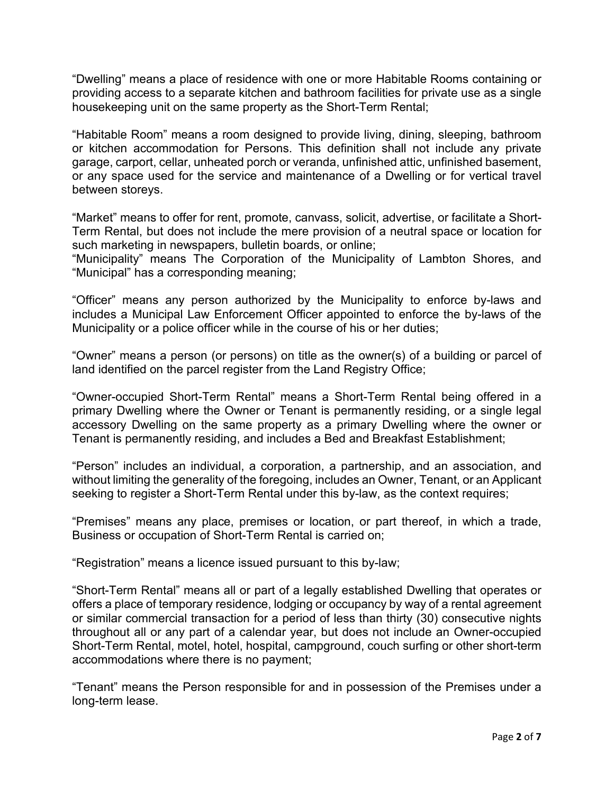"Dwelling" means a place of residence with one or more Habitable Rooms containing or providing access to a separate kitchen and bathroom facilities for private use as a single housekeeping unit on the same property as the Short-Term Rental;

"Habitable Room" means a room designed to provide living, dining, sleeping, bathroom or kitchen accommodation for Persons. This definition shall not include any private garage, carport, cellar, unheated porch or veranda, unfinished attic, unfinished basement, or any space used for the service and maintenance of a Dwelling or for vertical travel between storeys.

"Market" means to offer for rent, promote, canvass, solicit, advertise, or facilitate a Short-Term Rental, but does not include the mere provision of a neutral space or location for such marketing in newspapers, bulletin boards, or online;

"Municipality" means The Corporation of the Municipality of Lambton Shores, and "Municipal" has a corresponding meaning;

"Officer" means any person authorized by the Municipality to enforce by-laws and includes a Municipal Law Enforcement Officer appointed to enforce the by-laws of the Municipality or a police officer while in the course of his or her duties;

"Owner" means a person (or persons) on title as the owner(s) of a building or parcel of land identified on the parcel register from the Land Registry Office;

"Owner-occupied Short-Term Rental" means a Short-Term Rental being offered in a primary Dwelling where the Owner or Tenant is permanently residing, or a single legal accessory Dwelling on the same property as a primary Dwelling where the owner or Tenant is permanently residing, and includes a Bed and Breakfast Establishment;

"Person" includes an individual, a corporation, a partnership, and an association, and without limiting the generality of the foregoing, includes an Owner, Tenant, or an Applicant seeking to register a Short-Term Rental under this by-law, as the context requires;

"Premises" means any place, premises or location, or part thereof, in which a trade, Business or occupation of Short-Term Rental is carried on;

"Registration" means a licence issued pursuant to this by-law;

"Short-Term Rental" means all or part of a legally established Dwelling that operates or offers a place of temporary residence, lodging or occupancy by way of a rental agreement or similar commercial transaction for a period of less than thirty (30) consecutive nights throughout all or any part of a calendar year, but does not include an Owner-occupied Short-Term Rental, motel, hotel, hospital, campground, couch surfing or other short-term accommodations where there is no payment;

"Tenant" means the Person responsible for and in possession of the Premises under a long-term lease.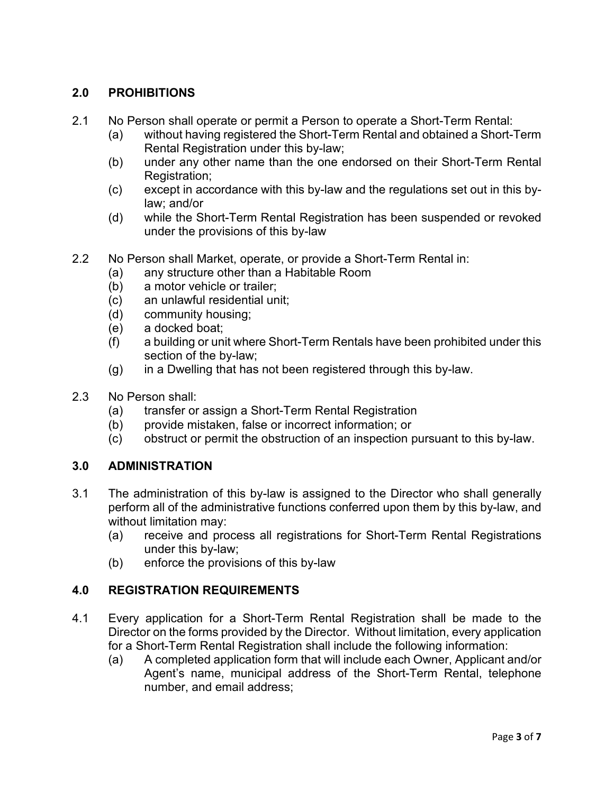# **2.0 PROHIBITIONS**

- 2.1 No Person shall operate or permit a Person to operate a Short-Term Rental:
	- (a) without having registered the Short-Term Rental and obtained a Short-Term Rental Registration under this by-law;
	- (b) under any other name than the one endorsed on their Short-Term Rental Registration;
	- (c) except in accordance with this by-law and the regulations set out in this bylaw; and/or
	- (d) while the Short-Term Rental Registration has been suspended or revoked under the provisions of this by-law
- 2.2 No Person shall Market, operate, or provide a Short-Term Rental in:
	- (a) any structure other than a Habitable Room
	- (b) a motor vehicle or trailer;
	- (c) an unlawful residential unit;
	- (d) community housing;
	- (e) a docked boat;
	- (f) a building or unit where Short-Term Rentals have been prohibited under this section of the by-law;
	- (g) in a Dwelling that has not been registered through this by-law.
- 2.3 No Person shall:
	- (a) transfer or assign a Short-Term Rental Registration
	- (b) provide mistaken, false or incorrect information; or
	- (c) obstruct or permit the obstruction of an inspection pursuant to this by-law.

# **3.0 ADMINISTRATION**

- 3.1 The administration of this by-law is assigned to the Director who shall generally perform all of the administrative functions conferred upon them by this by-law, and without limitation may:
	- (a) receive and process all registrations for Short-Term Rental Registrations under this by-law;
	- (b) enforce the provisions of this by-law

# **4.0 REGISTRATION REQUIREMENTS**

- 4.1 Every application for a Short-Term Rental Registration shall be made to the Director on the forms provided by the Director. Without limitation, every application for a Short-Term Rental Registration shall include the following information:
	- (a) A completed application form that will include each Owner, Applicant and/or Agent's name, municipal address of the Short-Term Rental, telephone number, and email address;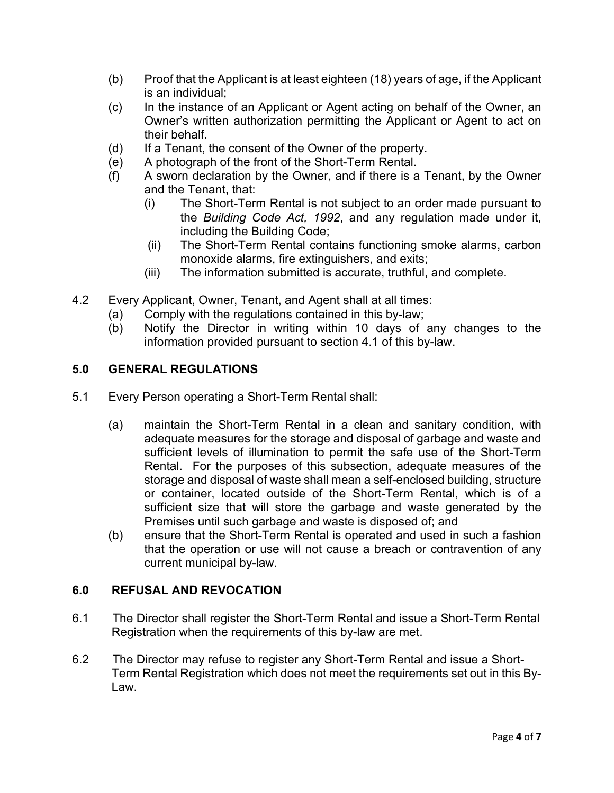- (b) Proof that the Applicant is at least eighteen (18) years of age, if the Applicant is an individual;
- (c) In the instance of an Applicant or Agent acting on behalf of the Owner, an Owner's written authorization permitting the Applicant or Agent to act on their behalf.
- (d) If a Tenant, the consent of the Owner of the property.
- (e) A photograph of the front of the Short-Term Rental.
- (f) A sworn declaration by the Owner, and if there is a Tenant, by the Owner and the Tenant, that:
	- (i) The Short-Term Rental is not subject to an order made pursuant to the *Building Code Act, 1992*, and any regulation made under it, including the Building Code;
	- (ii) The Short-Term Rental contains functioning smoke alarms, carbon monoxide alarms, fire extinguishers, and exits;
	- (iii) The information submitted is accurate, truthful, and complete.
- 4.2 Every Applicant, Owner, Tenant, and Agent shall at all times:
	- (a) Comply with the regulations contained in this by-law;
	- (b) Notify the Director in writing within 10 days of any changes to the information provided pursuant to section 4.1 of this by-law.

## **5.0 GENERAL REGULATIONS**

- 5.1 Every Person operating a Short-Term Rental shall:
	- (a) maintain the Short-Term Rental in a clean and sanitary condition, with adequate measures for the storage and disposal of garbage and waste and sufficient levels of illumination to permit the safe use of the Short-Term Rental. For the purposes of this subsection, adequate measures of the storage and disposal of waste shall mean a self-enclosed building, structure or container, located outside of the Short-Term Rental, which is of a sufficient size that will store the garbage and waste generated by the Premises until such garbage and waste is disposed of; and
	- (b) ensure that the Short-Term Rental is operated and used in such a fashion that the operation or use will not cause a breach or contravention of any current municipal by-law.

# **6.0 REFUSAL AND REVOCATION**

- 6.1 The Director shall register the Short-Term Rental and issue a Short-Term Rental Registration when the requirements of this by-law are met.
- 6.2 The Director may refuse to register any Short-Term Rental and issue a Short-Term Rental Registration which does not meet the requirements set out in this By-Law.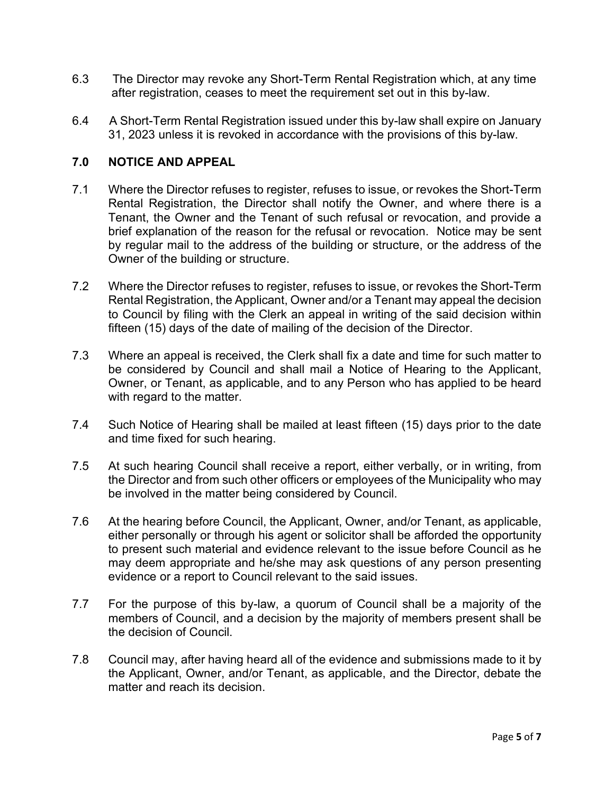- 6.3 The Director may revoke any Short-Term Rental Registration which, at any time after registration, ceases to meet the requirement set out in this by-law.
- 6.4 A Short-Term Rental Registration issued under this by-law shall expire on January 31, 2023 unless it is revoked in accordance with the provisions of this by-law.

# **7.0 NOTICE AND APPEAL**

- 7.1 Where the Director refuses to register, refuses to issue, or revokes the Short-Term Rental Registration, the Director shall notify the Owner, and where there is a Tenant, the Owner and the Tenant of such refusal or revocation, and provide a brief explanation of the reason for the refusal or revocation. Notice may be sent by regular mail to the address of the building or structure, or the address of the Owner of the building or structure.
- 7.2 Where the Director refuses to register, refuses to issue, or revokes the Short-Term Rental Registration, the Applicant, Owner and/or a Tenant may appeal the decision to Council by filing with the Clerk an appeal in writing of the said decision within fifteen (15) days of the date of mailing of the decision of the Director.
- 7.3 Where an appeal is received, the Clerk shall fix a date and time for such matter to be considered by Council and shall mail a Notice of Hearing to the Applicant, Owner, or Tenant, as applicable, and to any Person who has applied to be heard with regard to the matter.
- 7.4 Such Notice of Hearing shall be mailed at least fifteen (15) days prior to the date and time fixed for such hearing.
- 7.5 At such hearing Council shall receive a report, either verbally, or in writing, from the Director and from such other officers or employees of the Municipality who may be involved in the matter being considered by Council.
- 7.6 At the hearing before Council, the Applicant, Owner, and/or Tenant, as applicable, either personally or through his agent or solicitor shall be afforded the opportunity to present such material and evidence relevant to the issue before Council as he may deem appropriate and he/she may ask questions of any person presenting evidence or a report to Council relevant to the said issues.
- 7.7 For the purpose of this by-law, a quorum of Council shall be a majority of the members of Council, and a decision by the majority of members present shall be the decision of Council.
- 7.8 Council may, after having heard all of the evidence and submissions made to it by the Applicant, Owner, and/or Tenant, as applicable, and the Director, debate the matter and reach its decision.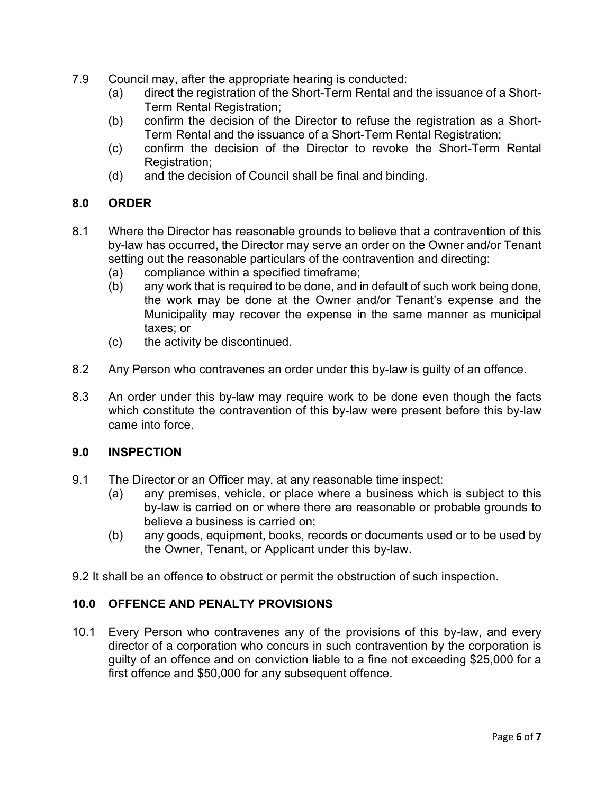- 7.9 Council may, after the appropriate hearing is conducted:
	- (a) direct the registration of the Short-Term Rental and the issuance of a Short-Term Rental Registration;
	- (b) confirm the decision of the Director to refuse the registration as a Short-Term Rental and the issuance of a Short-Term Rental Registration;
	- (c) confirm the decision of the Director to revoke the Short-Term Rental Registration:
	- (d) and the decision of Council shall be final and binding.

## **8.0 ORDER**

- 8.1 Where the Director has reasonable grounds to believe that a contravention of this by-law has occurred, the Director may serve an order on the Owner and/or Tenant setting out the reasonable particulars of the contravention and directing:
	- (a) compliance within a specified timeframe;
	- (b) any work that is required to be done, and in default of such work being done, the work may be done at the Owner and/or Tenant's expense and the Municipality may recover the expense in the same manner as municipal taxes; or
	- (c) the activity be discontinued.
- 8.2 Any Person who contravenes an order under this by-law is guilty of an offence.
- 8.3 An order under this by-law may require work to be done even though the facts which constitute the contravention of this by-law were present before this by-law came into force.

## **9.0 INSPECTION**

- 9.1 The Director or an Officer may, at any reasonable time inspect:
	- (a) any premises, vehicle, or place where a business which is subject to this by-law is carried on or where there are reasonable or probable grounds to believe a business is carried on;
	- (b) any goods, equipment, books, records or documents used or to be used by the Owner, Tenant, or Applicant under this by-law.
- 9.2 It shall be an offence to obstruct or permit the obstruction of such inspection.

## **10.0 OFFENCE AND PENALTY PROVISIONS**

10.1 Every Person who contravenes any of the provisions of this by-law, and every director of a corporation who concurs in such contravention by the corporation is guilty of an offence and on conviction liable to a fine not exceeding \$25,000 for a first offence and \$50,000 for any subsequent offence.